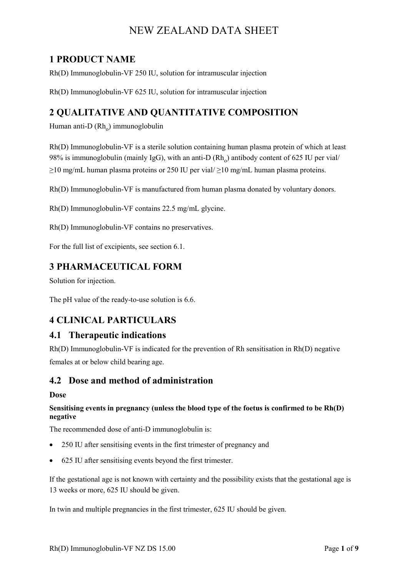# **1 PRODUCT NAME**

Rh(D) Immunoglobulin-VF 250 IU, solution for intramuscular injection

Rh(D) Immunoglobulin-VF 625 IU, solution for intramuscular injection

# **2 QUALITATIVE AND QUANTITATIVE COMPOSITION**

Human anti-D $(Rh_0)$  immunoglobulin

Rh(D) Immunoglobulin-VF is a sterile solution containing human plasma protein of which at least 98% is immunoglobulin (mainly IgG), with an anti-D  $(Rh<sub>o</sub>)$  antibody content of 625 IU per vial/  $\geq$ 10 mg/mL human plasma proteins or 250 IU per vial/ $\geq$ 10 mg/mL human plasma proteins.

Rh(D) Immunoglobulin-VF is manufactured from human plasma donated by voluntary donors.

Rh(D) Immunoglobulin-VF contains 22.5 mg/mL glycine.

Rh(D) Immunoglobulin-VF contains no preservatives.

For the full list of excipients, see section 6.1.

# **3 PHARMACEUTICAL FORM**

Solution for injection.

The pH value of the ready-to-use solution is 6.6.

# **4 CLINICAL PARTICULARS**

#### **4.1 Therapeutic indications**

Rh(D) Immunoglobulin-VF is indicated for the prevention of Rh sensitisation in Rh(D) negative females at or below child bearing age.

## **4.2 Dose and method of administration**

#### **Dose**

#### **Sensitising events in pregnancy (unless the blood type of the foetus is confirmed to be Rh(D) negative**

The recommended dose of anti-D immunoglobulin is:

- 250 IU after sensitising events in the first trimester of pregnancy and
- 625 IU after sensitising events beyond the first trimester.

If the gestational age is not known with certainty and the possibility exists that the gestational age is 13 weeks or more, 625 IU should be given.

In twin and multiple pregnancies in the first trimester, 625 IU should be given.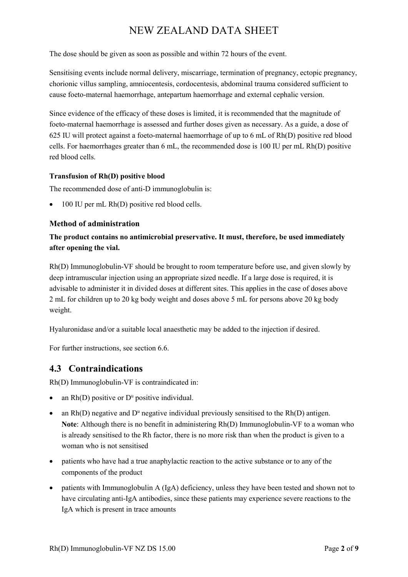The dose should be given as soon as possible and within 72 hours of the event.

Sensitising events include normal delivery, miscarriage, termination of pregnancy, ectopic pregnancy, chorionic villus sampling, amniocentesis, cordocentesis, abdominal trauma considered sufficient to cause foeto-maternal haemorrhage, antepartum haemorrhage and external cephalic version.

Since evidence of the efficacy of these doses is limited, it is recommended that the magnitude of foeto-maternal haemorrhage is assessed and further doses given as necessary. As a guide, a dose of 625 IU will protect against a foeto-maternal haemorrhage of up to 6 mL of Rh(D) positive red blood cells. For haemorrhages greater than 6 mL, the recommended dose is 100 IU per mL Rh(D) positive red blood cells.

#### **Transfusion of Rh(D) positive blood**

The recommended dose of anti-D immunoglobulin is:

• 100 IU per mL Rh(D) positive red blood cells.

#### **Method of administration**

#### **The product contains no antimicrobial preservative. It must, therefore, be used immediately after opening the vial.**

Rh(D) Immunoglobulin-VF should be brought to room temperature before use, and given slowly by deep intramuscular injection using an appropriate sized needle. If a large dose is required, it is advisable to administer it in divided doses at different sites. This applies in the case of doses above 2 mL for children up to 20 kg body weight and doses above 5 mL for persons above 20 kg body weight.

Hyaluronidase and/or a suitable local anaesthetic may be added to the injection if desired.

For further instructions, see section 6.6.

# **4.3 Contraindications**

Rh(D) Immunoglobulin-VF is contraindicated in:

- an  $Rh(D)$  positive or  $D^u$  positive individual.
- an  $Rh(D)$  negative and  $D^u$  negative individual previously sensitised to the  $Rh(D)$  antigen. **Note**: Although there is no benefit in administering Rh(D) Immunoglobulin-VF to a woman who is already sensitised to the Rh factor, there is no more risk than when the product is given to a woman who is not sensitised
- patients who have had a true anaphylactic reaction to the active substance or to any of the components of the product
- patients with Immunoglobulin A (IgA) deficiency, unless they have been tested and shown not to have circulating anti-IgA antibodies, since these patients may experience severe reactions to the IgA which is present in trace amounts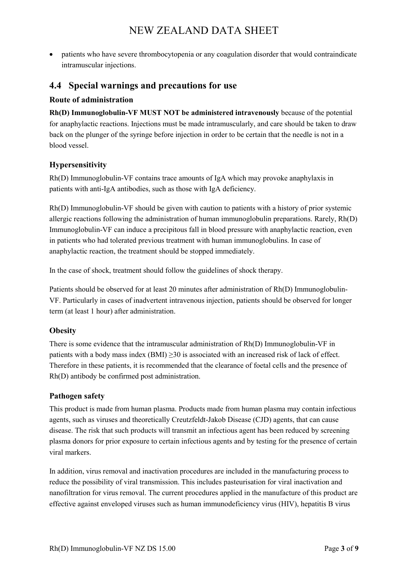• patients who have severe thrombocytopenia or any coagulation disorder that would contraindicate intramuscular injections.

## **4.4 Special warnings and precautions for use**

#### **Route of administration**

**Rh(D) Immunoglobulin-VF MUST NOT be administered intravenously** because of the potential for anaphylactic reactions. Injections must be made intramuscularly, and care should be taken to draw back on the plunger of the syringe before injection in order to be certain that the needle is not in a blood vessel.

#### **Hypersensitivity**

Rh(D) Immunoglobulin-VF contains trace amounts of IgA which may provoke anaphylaxis in patients with anti-IgA antibodies, such as those with IgA deficiency.

Rh(D) Immunoglobulin-VF should be given with caution to patients with a history of prior systemic allergic reactions following the administration of human immunoglobulin preparations. Rarely, Rh(D) Immunoglobulin-VF can induce a precipitous fall in blood pressure with anaphylactic reaction, even in patients who had tolerated previous treatment with human immunoglobulins. In case of anaphylactic reaction, the treatment should be stopped immediately.

In the case of shock, treatment should follow the guidelines of shock therapy.

Patients should be observed for at least 20 minutes after administration of Rh(D) Immunoglobulin-VF. Particularly in cases of inadvertent intravenous injection, patients should be observed for longer term (at least 1 hour) after administration.

#### **Obesity**

There is some evidence that the intramuscular administration of Rh(D) Immunoglobulin-VF in patients with a body mass index  $(BMI) \ge 30$  is associated with an increased risk of lack of effect. Therefore in these patients, it is recommended that the clearance of foetal cells and the presence of Rh(D) antibody be confirmed post administration.

#### **Pathogen safety**

This product is made from human plasma. Products made from human plasma may contain infectious agents, such as viruses and theoretically Creutzfeldt-Jakob Disease (CJD) agents, that can cause disease. The risk that such products will transmit an infectious agent has been reduced by screening plasma donors for prior exposure to certain infectious agents and by testing for the presence of certain viral markers.

In addition, virus removal and inactivation procedures are included in the manufacturing process to reduce the possibility of viral transmission. This includes pasteurisation for viral inactivation and nanofiltration for virus removal. The current procedures applied in the manufacture of this product are effective against enveloped viruses such as human immunodeficiency virus (HIV), hepatitis B virus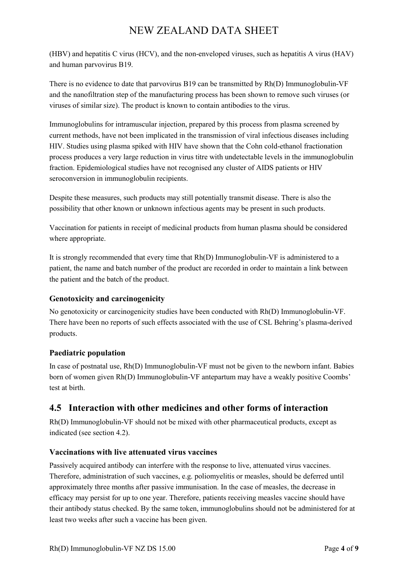(HBV) and hepatitis C virus (HCV), and the non-enveloped viruses, such as hepatitis A virus (HAV) and human parvovirus B19.

There is no evidence to date that parvovirus B19 can be transmitted by Rh(D) Immunoglobulin-VF and the nanofiltration step of the manufacturing process has been shown to remove such viruses (or viruses of similar size). The product is known to contain antibodies to the virus.

Immunoglobulins for intramuscular injection, prepared by this process from plasma screened by current methods, have not been implicated in the transmission of viral infectious diseases including HIV. Studies using plasma spiked with HIV have shown that the Cohn cold-ethanol fractionation process produces a very large reduction in virus titre with undetectable levels in the immunoglobulin fraction. Epidemiological studies have not recognised any cluster of AIDS patients or HIV seroconversion in immunoglobulin recipients.

Despite these measures, such products may still potentially transmit disease. There is also the possibility that other known or unknown infectious agents may be present in such products.

Vaccination for patients in receipt of medicinal products from human plasma should be considered where appropriate.

It is strongly recommended that every time that Rh(D) Immunoglobulin-VF is administered to a patient, the name and batch number of the product are recorded in order to maintain a link between the patient and the batch of the product.

#### **Genotoxicity and carcinogenicity**

No genotoxicity or carcinogenicity studies have been conducted with Rh(D) Immunoglobulin-VF. There have been no reports of such effects associated with the use of CSL Behring's plasma-derived products.

#### **Paediatric population**

In case of postnatal use, Rh(D) Immunoglobulin-VF must not be given to the newborn infant. Babies born of women given Rh(D) Immunoglobulin-VF antepartum may have a weakly positive Coombs' test at birth.

# **4.5 Interaction with other medicines and other forms of interaction**

Rh(D) Immunoglobulin-VF should not be mixed with other pharmaceutical products, except as indicated (see section 4.2).

## **Vaccinations with live attenuated virus vaccines**

Passively acquired antibody can interfere with the response to live, attenuated virus vaccines. Therefore, administration of such vaccines, e.g. poliomyelitis or measles, should be deferred until approximately three months after passive immunisation. In the case of measles, the decrease in efficacy may persist for up to one year. Therefore, patients receiving measles vaccine should have their antibody status checked. By the same token, immunoglobulins should not be administered for at least two weeks after such a vaccine has been given.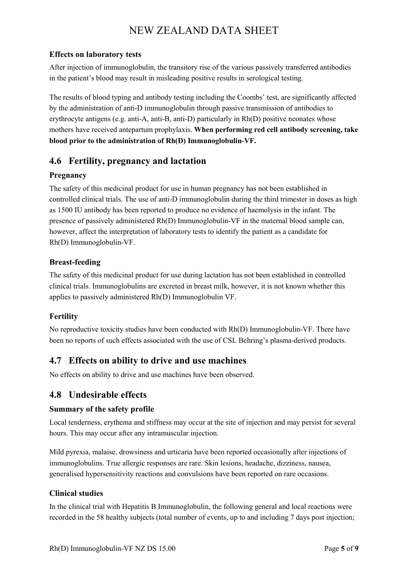#### **Effects on laboratory tests**

After injection of immunoglobulin, the transitory rise of the various passively transferred antibodies in the patient's blood may result in misleading positive results in serological testing.

The results of blood typing and antibody testing including the Coombs' test, are significantly affected by the administration of anti-D immunoglobulin through passive transmission of antibodies to erythrocyte antigens (e.g. anti-A, anti-B, anti-D) particularly in Rh(D) positive neonates whose mothers have received antepartum prophylaxis. **When performing red cell antibody screening, take blood prior to the administration of Rh(D) Immunoglobulin-VF.**

# **4.6 Fertility, pregnancy and lactation**

## **Pregnancy**

The safety of this medicinal product for use in human pregnancy has not been established in controlled clinical trials. The use of anti-D immunoglobulin during the third trimester in doses as high as 1500 IU antibody has been reported to produce no evidence of haemolysis in the infant. The presence of passively administered Rh(D) Immunoglobulin-VF in the maternal blood sample can, however, affect the interpretation of laboratory tests to identify the patient as a candidate for Rh(D) Immunoglobulin-VF.

#### **Breast-feeding**

The safety of this medicinal product for use during lactation has not been established in controlled clinical trials. Immunoglobulins are excreted in breast milk, however, it is not known whether this applies to passively administered Rh(D) Immunoglobulin VF.

## **Fertility**

No reproductive toxicity studies have been conducted with Rh(D) Immunoglobulin-VF. There have been no reports of such effects associated with the use of CSL Behring's plasma-derived products.

# **4.7 Effects on ability to drive and use machines**

No effects on ability to drive and use machines have been observed.

# **4.8 Undesirable effects**

#### **Summary of the safety profile**

Local tenderness, erythema and stiffness may occur at the site of injection and may persist for several hours. This may occur after any intramuscular injection.

Mild pyrexia, malaise, drowsiness and urticaria have been reported occasionally after injections of immunoglobulins. True allergic responses are rare. Skin lesions, headache, dizziness, nausea, generalised hypersensitivity reactions and convulsions have been reported on rare occasions.

#### **Clinical studies**

In the clinical trial with Hepatitis B Immunoglobulin, the following general and local reactions were recorded in the 58 healthy subjects (total number of events, up to and including 7 days post injection;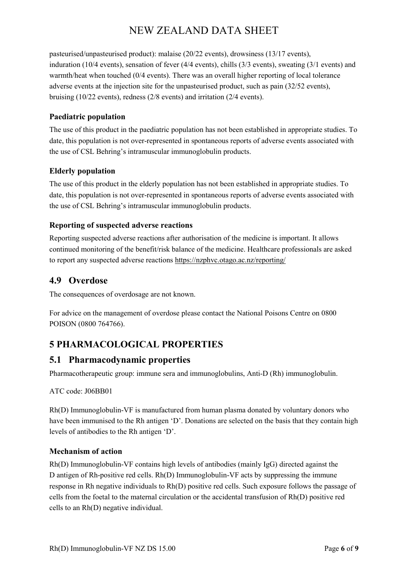pasteurised/unpasteurised product): malaise (20/22 events), drowsiness (13/17 events), induration (10/4 events), sensation of fever (4/4 events), chills (3/3 events), sweating (3/1 events) and warmth/heat when touched (0/4 events). There was an overall higher reporting of local tolerance adverse events at the injection site for the unpasteurised product, such as pain (32/52 events), bruising (10/22 events), redness (2/8 events) and irritation (2/4 events).

#### **Paediatric population**

The use of this product in the paediatric population has not been established in appropriate studies. To date, this population is not over-represented in spontaneous reports of adverse events associated with the use of CSL Behring's intramuscular immunoglobulin products.

#### **Elderly population**

The use of this product in the elderly population has not been established in appropriate studies. To date, this population is not over-represented in spontaneous reports of adverse events associated with the use of CSL Behring's intramuscular immunoglobulin products.

#### **Reporting of suspected adverse reactions**

Reporting suspected adverse reactions after authorisation of the medicine is important. It allows continued monitoring of the benefit/risk balance of the medicine. Healthcare professionals are asked to report any suspected adverse reactions https://nzphvc.otago.ac.nz/reporting/

# **4.9 Overdose**

The consequences of overdosage are not known.

For advice on the management of overdose please contact the National Poisons Centre on 0800 POISON (0800 764766).

# **5 PHARMACOLOGICAL PROPERTIES**

# **5.1 Pharmacodynamic properties**

Pharmacotherapeutic group: immune sera and immunoglobulins, Anti-D (Rh) immunoglobulin.

#### ATC code: J06BB01

Rh(D) Immunoglobulin-VF is manufactured from human plasma donated by voluntary donors who have been immunised to the Rh antigen 'D'. Donations are selected on the basis that they contain high levels of antibodies to the Rh antigen 'D'.

#### **Mechanism of action**

Rh(D) Immunoglobulin-VF contains high levels of antibodies (mainly IgG) directed against the D antigen of Rh-positive red cells. Rh(D) Immunoglobulin-VF acts by suppressing the immune response in Rh negative individuals to Rh(D) positive red cells. Such exposure follows the passage of cells from the foetal to the maternal circulation or the accidental transfusion of Rh(D) positive red cells to an Rh(D) negative individual.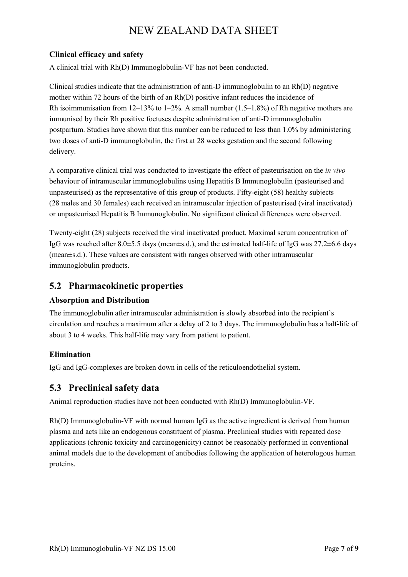#### **Clinical efficacy and safety**

A clinical trial with Rh(D) Immunoglobulin-VF has not been conducted.

Clinical studies indicate that the administration of anti-D immunoglobulin to an Rh(D) negative mother within 72 hours of the birth of an Rh(D) positive infant reduces the incidence of Rh isoimmunisation from  $12-13\%$  to  $1-2\%$ . A small number  $(1.5-1.8\%)$  of Rh negative mothers are immunised by their Rh positive foetuses despite administration of anti-D immunoglobulin postpartum. Studies have shown that this number can be reduced to less than 1.0% by administering two doses of anti-D immunoglobulin, the first at 28 weeks gestation and the second following delivery.

A comparative clinical trial was conducted to investigate the effect of pasteurisation on the *in vivo* behaviour of intramuscular immunoglobulins using Hepatitis B Immunoglobulin (pasteurised and unpasteurised) as the representative of this group of products. Fifty-eight (58) healthy subjects (28 males and 30 females) each received an intramuscular injection of pasteurised (viral inactivated) or unpasteurised Hepatitis B Immunoglobulin. No significant clinical differences were observed.

Twenty-eight (28) subjects received the viral inactivated product. Maximal serum concentration of IgG was reached after 8.0±5.5 days (mean±s.d.), and the estimated half-life of IgG was 27.2±6.6 days (mean±s.d.). These values are consistent with ranges observed with other intramuscular immunoglobulin products.

# **5.2 Pharmacokinetic properties**

## **Absorption and Distribution**

The immunoglobulin after intramuscular administration is slowly absorbed into the recipient's circulation and reaches a maximum after a delay of 2 to 3 days. The immunoglobulin has a half-life of about 3 to 4 weeks. This half-life may vary from patient to patient.

#### **Elimination**

IgG and IgG-complexes are broken down in cells of the reticuloendothelial system.

# **5.3 Preclinical safety data**

Animal reproduction studies have not been conducted with Rh(D) Immunoglobulin-VF.

Rh(D) Immunoglobulin-VF with normal human IgG as the active ingredient is derived from human plasma and acts like an endogenous constituent of plasma. Preclinical studies with repeated dose applications (chronic toxicity and carcinogenicity) cannot be reasonably performed in conventional animal models due to the development of antibodies following the application of heterologous human proteins.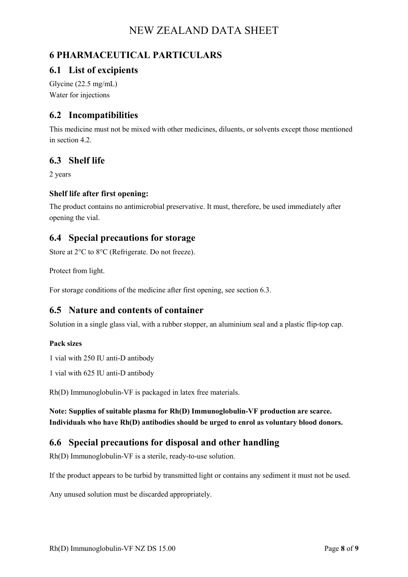# **6 PHARMACEUTICAL PARTICULARS**

# **6.1 List of excipients**

Glycine (22.5 mg/mL) Water for injections

# **6.2 Incompatibilities**

This medicine must not be mixed with other medicines, diluents, or solvents except those mentioned in section 4.2.

# **6.3 Shelf life**

2 years

#### **Shelf life after first opening:**

The product contains no antimicrobial preservative. It must, therefore, be used immediately after opening the vial.

## **6.4 Special precautions for storage**

Store at 2°C to 8°C (Refrigerate. Do not freeze).

Protect from light.

For storage conditions of the medicine after first opening, see section 6.3.

## **6.5 Nature and contents of container**

Solution in a single glass vial, with a rubber stopper, an aluminium seal and a plastic flip-top cap.

#### **Pack sizes**

1 vial with 250 IU anti-D antibody

1 vial with 625 IU anti-D antibody

Rh(D) Immunoglobulin-VF is packaged in latex free materials.

**Note: Supplies of suitable plasma for Rh(D) Immunoglobulin-VF production are scarce. Individuals who have Rh(D) antibodies should be urged to enrol as voluntary blood donors.**

# **6.6 Special precautions for disposal and other handling**

Rh(D) Immunoglobulin-VF is a sterile, ready-to-use solution.

If the product appears to be turbid by transmitted light or contains any sediment it must not be used.

Any unused solution must be discarded appropriately.